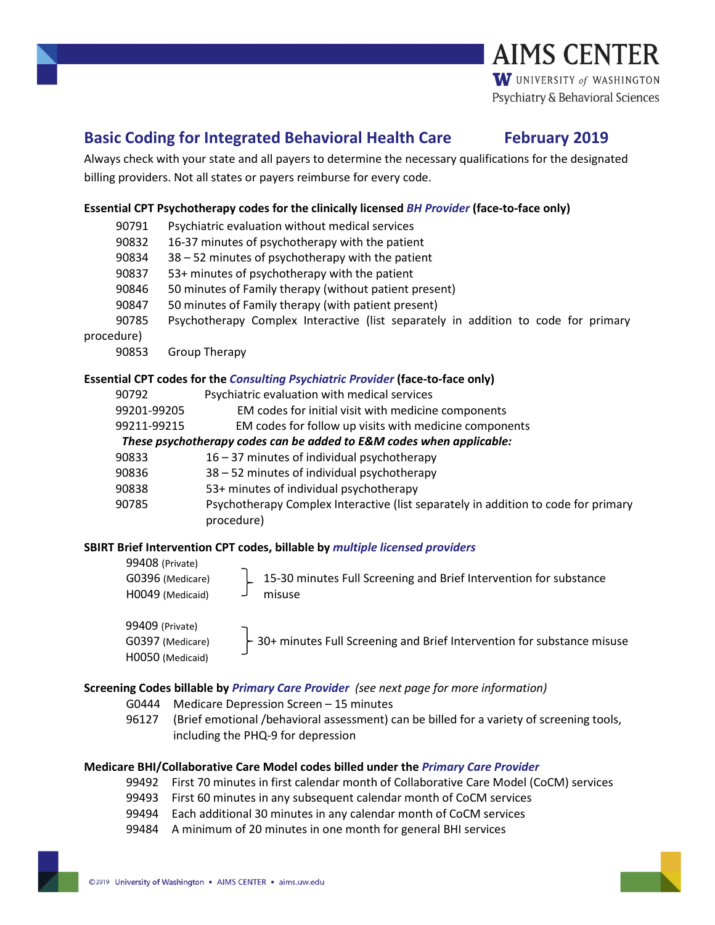## **Basic Coding for Integrated Behavioral Health Care February 2019**

Always check with your state and all payers to determine the necessary qualifications for the designated billing providers. Not all states or payers reimburse for every code.

### **Essential CPT Psychotherapy codes for the clinically licensed** *BH Provider* **(face-to-face only)**

- 90791 Psychiatric evaluation without medical services 90832 16-37 minutes of psychotherapy with the patient 90834 38 – 52 minutes of psychotherapy with the patient 90837 53+ minutes of psychotherapy with the patient 90846 50 minutes of Family therapy (without patient present)
- 90847 50 minutes of Family therapy (with patient present)
- 90785 Psychotherapy Complex Interactive (list separately in addition to code for primary

procedure)

90853 Group Therapy

### **Essential CPT codes for the** *Consulting Psychiatric Provider* **(face-to-face only)**

| 90792                                                                | Psychiatric evaluation with medical services                                       |
|----------------------------------------------------------------------|------------------------------------------------------------------------------------|
| 99201-99205                                                          | EM codes for initial visit with medicine components                                |
| 99211-99215                                                          | EM codes for follow up visits with medicine components                             |
| These psychotherapy codes can be added to E&M codes when applicable: |                                                                                    |
| 90833                                                                | $16 - 37$ minutes of individual psychotherapy                                      |
| 90836                                                                | 38 - 52 minutes of individual psychotherapy                                        |
| 90838                                                                | 53+ minutes of individual psychotherapy                                            |
| 90785                                                                | Psychotherapy Complex Interactive (list separately in addition to code for primary |
|                                                                      | procedure)                                                                         |

### **SBIRT Brief Intervention CPT codes, billable by** *multiple licensed providers*

99408 (Private)

G0396 (Medicare) H0049 (Medicaid)

15-30 minutes Full Screening and Brief Intervention for substance misuse

99409 (Private) G0397 (Medicare) H0050 (Medicaid)

30+ minutes Full Screening and Brief Intervention for substance misuse

### **Screening Codes billable by** *Primary Care Provider (see next page for more information)*

- G0444 Medicare Depression Screen 15 minutes
- 96127 (Brief emotional /behavioral assessment) can be billed for a variety of screening tools, including the PHQ-9 for depression

### **Medicare BHI/Collaborative Care Model codes billed under the** *Primary Care Provider*

- 99492 First 70 minutes in first calendar month of Collaborative Care Model (CoCM) services
- 99493 First 60 minutes in any subsequent calendar month of CoCM services
- 99494 Each additional 30 minutes in any calendar month of CoCM services
- 99484 A minimum of 20 minutes in one month for general BHI services

# **AIMS CENTER** W UNIVERSITY of WASHINGTON Psychiatry & Behavioral Sciences